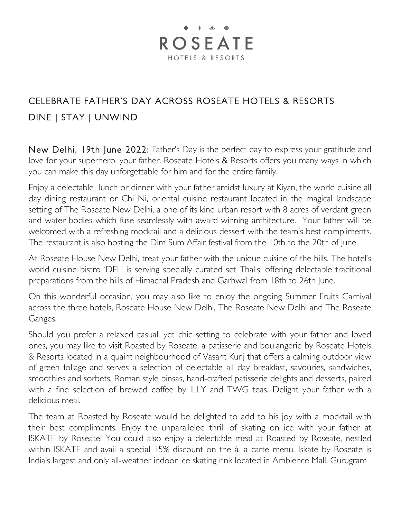## $\bullet$   $\parallel$   $\bullet$   $\oplus$ **ROSEATE** HOTELS & RESORTS

## CELEBRATE FATHER'S DAY ACROSS ROSEATE HOTELS & RESORTS DINE | STAY | UNWIND

New Delhi, 19th June 2022: Father's Day is the perfect day to express your gratitude and love for your superhero, your father. Roseate Hotels & Resorts offers you many ways in which you can make this day unforgettable for him and for the entire family.

Enjoy a delectable lunch or dinner with your father amidst luxury at Kiyan, the world cuisine all day dining restaurant or Chi Ni, oriental cuisine restaurant located in the magical landscape setting of The Roseate New Delhi, a one of its kind urban resort with 8 acres of verdant green and water bodies which fuse seamlessly with award winning architecture. Your father will be welcomed with a refreshing mocktail and a delicious dessert with the team's best compliments. The restaurant is also hosting the Dim Sum Affair festival from the 10th to the 20th of June.

At Roseate House New Delhi, treat your father with the unique cuisine of the hills. The hotel's world cuisine bistro 'DEL' is serving specially curated set Thalis, offering delectable traditional preparations from the hills of Himachal Pradesh and Garhwal from 18th to 26th June.

On this wonderful occasion, you may also like to enjoy the ongoing Summer Fruits Carnival across the three hotels, Roseate House New Delhi, The Roseate New Delhi and The Roseate Ganges.

Should you prefer a relaxed casual, yet chic setting to celebrate with your father and loved ones, you may like to visit Roasted by Roseate, a patisserie and boulangerie by Roseate Hotels & Resorts located in a quaint neighbourhood of Vasant Kunj that offers a calming outdoor view of green foliage and serves a selection of delectable all day breakfast, savouries, sandwiches, smoothies and sorbets, Roman style pinsas, hand-crafted patisserie delights and desserts, paired with a fine selection of brewed coffee by ILLY and TWG teas. Delight your father with a delicious meal.

The team at Roasted by Roseate would be delighted to add to his joy with a mocktail with their best compliments. Enjoy the unparalleled thrill of skating on ice with your father at ISKATE by Roseate! You could also enjoy a delectable meal at Roasted by Roseate, nestled within ISKATE and avail a special 15% discount on the à la carte menu. Iskate by Roseate is India's largest and only all-weather indoor ice skating rink located in Ambience Mall, Gurugram